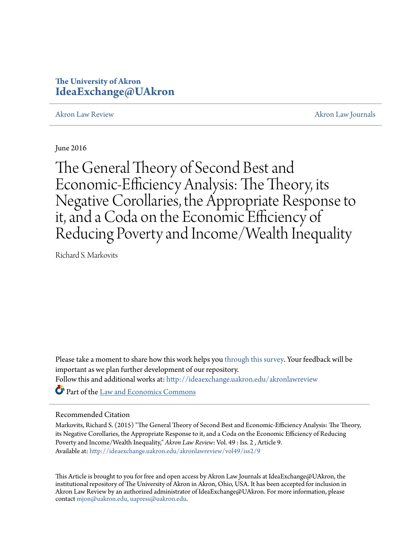# **The University of Akron [IdeaExchange@UAkron](http://ideaexchange.uakron.edu?utm_source=ideaexchange.uakron.edu%2Fakronlawreview%2Fvol49%2Fiss2%2F9&utm_medium=PDF&utm_campaign=PDFCoverPages)**

[Akron Law Review](http://ideaexchange.uakron.edu/akronlawreview?utm_source=ideaexchange.uakron.edu%2Fakronlawreview%2Fvol49%2Fiss2%2F9&utm_medium=PDF&utm_campaign=PDFCoverPages) [Akron Law Journals](http://ideaexchange.uakron.edu/akronlawjournals?utm_source=ideaexchange.uakron.edu%2Fakronlawreview%2Fvol49%2Fiss2%2F9&utm_medium=PDF&utm_campaign=PDFCoverPages)

June 2016

The General Theory of Second Best and Economic-Efficiency Analysis: The Theory, its Negative Corollaries, the Appropriate Response to it, and a Coda on the Economic Efficiency of Reducing Poverty and Income/Wealth Inequality

Richard S. Markovits

Please take a moment to share how this work helps you [through this survey.](http://survey.az1.qualtrics.com/SE/?SID=SV_eEVH54oiCbOw05f&URL=http://ideaexchange.uakron.edu/akronlawreview/vol49/iss2/9) Your feedback will be important as we plan further development of our repository.

Follow this and additional works at: [http://ideaexchange.uakron.edu/akronlawreview](http://ideaexchange.uakron.edu/akronlawreview?utm_source=ideaexchange.uakron.edu%2Fakronlawreview%2Fvol49%2Fiss2%2F9&utm_medium=PDF&utm_campaign=PDFCoverPages)

Part of the [Law and Economics Commons](http://network.bepress.com/hgg/discipline/612?utm_source=ideaexchange.uakron.edu%2Fakronlawreview%2Fvol49%2Fiss2%2F9&utm_medium=PDF&utm_campaign=PDFCoverPages)

# Recommended Citation

Markovits, Richard S. (2015) "The General Theory of Second Best and Economic-Efficiency Analysis: The Theory, its Negative Corollaries, the Appropriate Response to it, and a Coda on the Economic Efficiency of Reducing Poverty and Income/Wealth Inequality," *Akron Law Review*: Vol. 49 : Iss. 2 , Article 9. Available at: [http://ideaexchange.uakron.edu/akronlawreview/vol49/iss2/9](http://ideaexchange.uakron.edu/akronlawreview/vol49/iss2/9?utm_source=ideaexchange.uakron.edu%2Fakronlawreview%2Fvol49%2Fiss2%2F9&utm_medium=PDF&utm_campaign=PDFCoverPages)

This Article is brought to you for free and open access by Akron Law Journals at IdeaExchange@UAkron, the institutional repository of The University of Akron in Akron, Ohio, USA. It has been accepted for inclusion in Akron Law Review by an authorized administrator of IdeaExchange@UAkron. For more information, please contact [mjon@uakron.edu, uapress@uakron.edu.](mailto:mjon@uakron.edu,%20uapress@uakron.edu)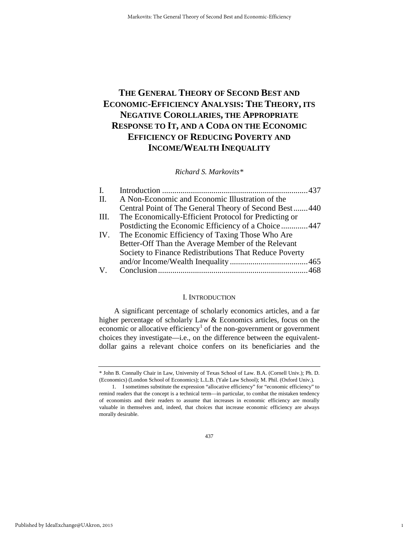# **THE GENERAL THEORY OF SECOND BEST AND ECONOMIC-EFFICIENCY ANALYSIS: THE THEORY, ITS NEGATIVE COROLLARIES, THE APPROPRIATE RESPONSE TO IT, AND A CODA ON THE ECONOMIC EFFICIENCY OF REDUCING POVERTY AND INCOME/WEALTH INEQUALITY**

## *Richard S. Markovits[\\*](#page-1-0)*

| $\mathbf{I}$ . |                                                        |  |
|----------------|--------------------------------------------------------|--|
| II.            | A Non-Economic and Economic Illustration of the        |  |
|                | Central Point of The General Theory of Second Best440  |  |
| III.           | The Economically-Efficient Protocol for Predicting or  |  |
|                | Postdicting the Economic Efficiency of a Choice 447    |  |
|                | IV. The Economic Efficiency of Taxing Those Who Are    |  |
|                | Better-Off Than the Average Member of the Relevant     |  |
|                | Society to Finance Redistributions That Reduce Poverty |  |
|                |                                                        |  |
| V              |                                                        |  |
|                |                                                        |  |

## I. INTRODUCTION

A significant percentage of scholarly economics articles, and a far higher percentage of scholarly Law & Economics articles, focus on the economic or allocative efficiency<sup>[1](#page-1-1)</sup> of the non-government or government choices they investigate—i.e., on the difference between the equivalentdollar gains a relevant choice confers on its beneficiaries and the

1

<span id="page-1-0"></span><sup>\*</sup> John B. Connally Chair in Law, University of Texas School of Law. B.A. (Cornell Univ.); Ph. D. (Economics) (London School of Economics); L.L.B. (Yale Law School); M. Phil. (Oxford Univ.).

<span id="page-1-1"></span><sup>1.</sup> I sometimes substitute the expression "allocative efficiency" for "economic efficiency" to remind readers that the concept is a technical term—in particular, to combat the mistaken tendency of economists and their readers to assume that increases in economic efficiency are morally valuable in themselves and, indeed, that choices that increase economic efficiency are always morally desirable.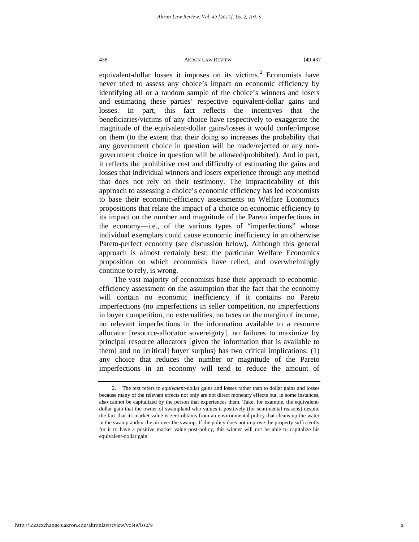equivalent-dollar losses it imposes on its victims.<sup>[2](#page-2-0)</sup> Economists have never tried to assess any choice's impact on economic efficiency by identifying all or a random sample of the choice's winners and losers and estimating these parties' respective equivalent-dollar gains and losses. In part, this fact reflects the incentives that the beneficiaries/victims of any choice have respectively to exaggerate the magnitude of the equivalent-dollar gains/losses it would confer/impose on them (to the extent that their doing so increases the probability that any government choice in question will be made/rejected or any nongovernment choice in question will be allowed/prohibited). And in part, it reflects the prohibitive cost and difficulty of estimating the gains and losses that individual winners and losers experience through any method that does not rely on their testimony. The impracticability of this approach to assessing a choice's economic efficiency has led economists to base their economic-efficiency assessments on Welfare Economics propositions that relate the impact of a choice on economic efficiency to its impact on the number and magnitude of the Pareto imperfections in the economy—i.e., of the various types of "imperfections" whose individual exemplars could cause economic inefficiency in an otherwise Pareto-perfect economy (see discussion below). Although this general approach is almost certainly best, the particular Welfare Economics proposition on which economists have relied, and overwhelmingly continue to rely, is wrong.

The vast majority of economists base their approach to economicefficiency assessment on the assumption that the fact that the economy will contain no economic inefficiency if it contains no Pareto imperfections (no imperfections in seller competition, no imperfections in buyer competition, no externalities, no taxes on the margin of income, no relevant imperfections in the information available to a resource allocator [resource-allocator sovereignty], no failures to maximize by principal resource allocators [given the information that is available to them] and no [critical] buyer surplus) has two critical implications: (1) any choice that reduces the number or magnitude of the Pareto imperfections in an economy will tend to reduce the amount of

<span id="page-2-0"></span><sup>2.</sup> The text refers to *equivalent*-dollar gains and losses rather than to dollar gains and losses because many of the relevant effects not only are not direct monetary effects but, in some instances, also cannot be capitalized by the person that experiences them. Take, for example, the equivalentdollar gain that the owner of swampland who values it positively (for sentimental reasons) despite the fact that its market value is zero obtains from an environmental policy that cleans up the water in the swamp and/or the air over the swamp. If the policy does not improve the property sufficiently for it to have a positive market value post-policy, this winner will not be able to capitalize his equivalent-dollar gain.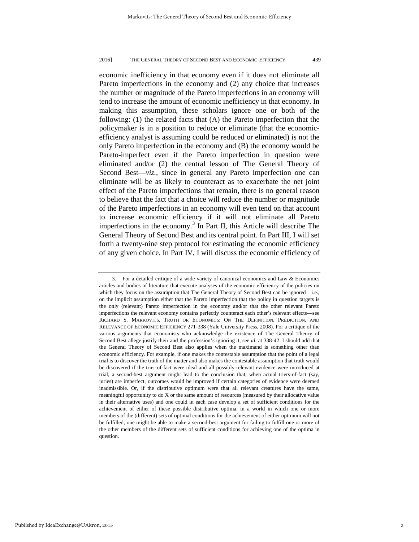economic inefficiency in that economy even if it does not eliminate all Pareto imperfections in the economy and (2) any choice that increases the number or magnitude of the Pareto imperfections in an economy will tend to increase the amount of economic inefficiency in that economy. In making this assumption, these scholars ignore one or both of the following: (1) the related facts that (A) the Pareto imperfection that the policymaker is in a position to reduce or eliminate (that the economicefficiency analyst is assuming could be reduced or eliminated) is not the only Pareto imperfection in the economy and (B) the economy would be Pareto-imperfect even if the Pareto imperfection in question were eliminated and/or (2) the central lesson of The General Theory of Second Best—*viz.*, since in general any Pareto imperfection one can eliminate will be as likely to counteract as to exacerbate the net joint effect of the Pareto imperfections that remain, there is no general reason to believe that the fact that a choice will reduce the number or magnitude of the Pareto imperfections in an economy will even tend on that account to increase economic efficiency if it will not eliminate all Pareto imperfections in the economy.<sup>[3](#page-3-0)</sup> In Part II, this Article will describe The General Theory of Second Best and its central point. In Part III, I will set forth a twenty-nine step protocol for estimating the economic efficiency of any given choice. In Part IV, I will discuss the economic efficiency of

<span id="page-3-0"></span><sup>3.</sup> For a detailed critique of a wide variety of canonical economics and Law  $\&$  Economics articles and bodies of literature that execute analyses of the economic efficiency of the policies on which they focus on the assumption that The General Theory of Second Best can be ignored—i.e., on the implicit assumption either that the Pareto imperfection that the policy in question targets is the only (relevant) Pareto imperfection in the economy and/or that the other relevant Pareto imperfections the relevant economy contains perfectly counteract each other's relevant effects—see RICHARD S. MARKOVITS, TRUTH OR ECONOMICS: ON THE DEFINITION, PREDICTION, AND RELEVANCE OF ECONOMIC EFFICIENCY 271-338 (Yale University Press, 2008). For a critique of the various arguments that economists who acknowledge the existence of The General Theory of Second Best allege justify their and the profession's ignoring it, see *id*. at 338-42. I should add that the General Theory of Second Best also applies when the maximand is something other than economic efficiency. For example, if one makes the contestable assumption that the point of a legal trial is to discover the truth of the matter and also makes the contestable assumption that truth would be discovered if the trier-of-fact were ideal and all possibly-relevant evidence were introduced at trial, a second-best argument might lead to the conclusion that, when actual triers-of-fact (say, juries) are imperfect, outcomes would be improved if certain categories of evidence were deemed inadmissible. Or, if the distributive optimum were that all relevant creatures have the same, meaningful opportunity to do X or the same amount of resources (measured by their allocative value in their alternative uses) and one could in each case develop a set of sufficient conditions for the achievement of either of these possible distributive optima, in a world in which one or more members of the (different) sets of optimal conditions for the achievement of either optimum will not be fulfilled, one might be able to make a second-best argument for failing to fulfill one or more of the other members of the different sets of sufficient conditions for achieving one of the optima in question.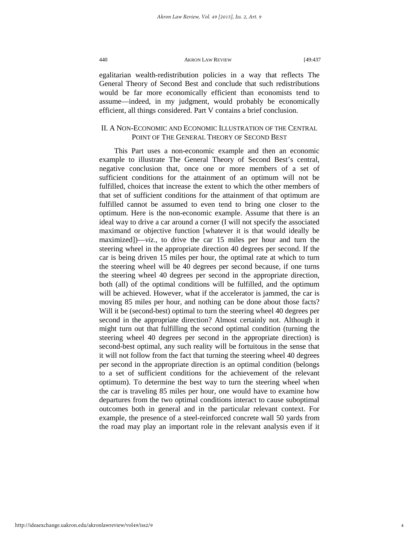egalitarian wealth-redistribution policies in a way that reflects The General Theory of Second Best and conclude that such redistributions would be far more economically efficient than economists tend to assume—indeed, in my judgment, would probably be economically efficient, all things considered. Part V contains a brief conclusion.

# II. A NON-ECONOMIC AND ECONOMIC ILLUSTRATION OF THE CENTRAL POINT OF THE GENERAL THEORY OF SECOND BEST

This Part uses a non-economic example and then an economic example to illustrate The General Theory of Second Best's central, negative conclusion that, once one or more members of a set of sufficient conditions for the attainment of an optimum will not be fulfilled, choices that increase the extent to which the other members of that set of sufficient conditions for the attainment of that optimum are fulfilled cannot be assumed to even tend to bring one closer to the optimum. Here is the non-economic example. Assume that there is an ideal way to drive a car around a corner (I will not specify the associated maximand or objective function [whatever it is that would ideally be maximized])—*viz.*, to drive the car 15 miles per hour and turn the steering wheel in the appropriate direction 40 degrees per second. If the car is being driven 15 miles per hour, the optimal rate at which to turn the steering wheel will be 40 degrees per second because, if one turns the steering wheel 40 degrees per second in the appropriate direction, both (all) of the optimal conditions will be fulfilled, and the optimum will be achieved. However, what if the accelerator is jammed, the car is moving 85 miles per hour, and nothing can be done about those facts? Will it be (second-best) optimal to turn the steering wheel 40 degrees per second in the appropriate direction? Almost certainly not. Although it might turn out that fulfilling the second optimal condition (turning the steering wheel 40 degrees per second in the appropriate direction) is second-best optimal, any such reality will be fortuitous in the sense that it will not follow from the fact that turning the steering wheel 40 degrees per second in the appropriate direction is an optimal condition (belongs to a set of sufficient conditions for the achievement of the relevant optimum). To determine the best way to turn the steering wheel when the car is traveling 85 miles per hour, one would have to examine how departures from the two optimal conditions interact to cause suboptimal outcomes both in general and in the particular relevant context. For example, the presence of a steel-reinforced concrete wall 50 yards from the road may play an important role in the relevant analysis even if it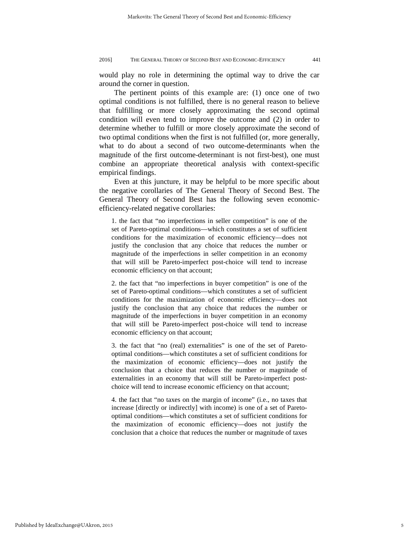would play no role in determining the optimal way to drive the car around the corner in question.

The pertinent points of this example are: (1) once one of two optimal conditions is not fulfilled, there is no general reason to believe that fulfilling or more closely approximating the second optimal condition will even tend to improve the outcome and (2) in order to determine whether to fulfill or more closely approximate the second of two optimal conditions when the first is not fulfilled (or, more generally, what to do about a second of two outcome-determinants when the magnitude of the first outcome-determinant is not first-best), one must combine an appropriate theoretical analysis with context-specific empirical findings.

Even at this juncture, it may be helpful to be more specific about the negative corollaries of The General Theory of Second Best. The General Theory of Second Best has the following seven economicefficiency-related negative corollaries:

1. the fact that "no imperfections in seller competition" is one of the set of Pareto-optimal conditions—which constitutes a set of sufficient conditions for the maximization of economic efficiency—does not justify the conclusion that any choice that reduces the number or magnitude of the imperfections in seller competition in an economy that will still be Pareto-imperfect post-choice will tend to increase economic efficiency on that account;

2. the fact that "no imperfections in buyer competition" is one of the set of Pareto-optimal conditions—which constitutes a set of sufficient conditions for the maximization of economic efficiency—does not justify the conclusion that any choice that reduces the number or magnitude of the imperfections in buyer competition in an economy that will still be Pareto-imperfect post-choice will tend to increase economic efficiency on that account;

3. the fact that "no (real) externalities" is one of the set of Paretooptimal conditions—which constitutes a set of sufficient conditions for the maximization of economic efficiency—does not justify the conclusion that a choice that reduces the number or magnitude of externalities in an economy that will still be Pareto-imperfect postchoice will tend to increase economic efficiency on that account;

4. the fact that "no taxes on the margin of income" (i.e., no taxes that increase [directly or indirectly] with income) is one of a set of Paretooptimal conditions—which constitutes a set of sufficient conditions for the maximization of economic efficiency—does not justify the conclusion that a choice that reduces the number or magnitude of taxes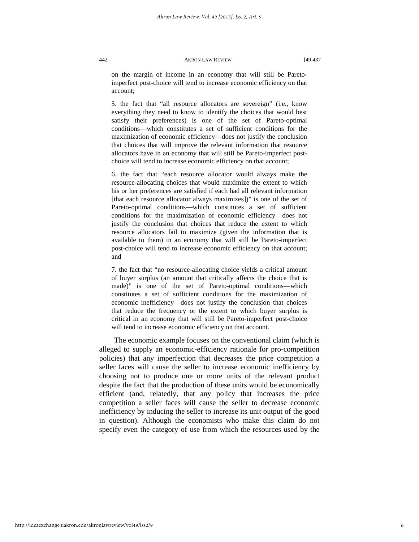on the margin of income in an economy that will still be Paretoimperfect post-choice will tend to increase economic efficiency on that account;

5. the fact that "all resource allocators are sovereign" (i.e., know everything they need to know to identify the choices that would best satisfy their preferences) is one of the set of Pareto-optimal conditions—which constitutes a set of sufficient conditions for the maximization of economic efficiency—does not justify the conclusion that choices that will improve the relevant information that resource allocators have in an economy that will still be Pareto-imperfect postchoice will tend to increase economic efficiency on that account;

6. the fact that "each resource allocator would always make the resource-allocating choices that would maximize the extent to which his or her preferences are satisfied if each had all relevant information [that each resource allocator always maximizes])" is one of the set of Pareto-optimal conditions—which constitutes a set of sufficient conditions for the maximization of economic efficiency—does not justify the conclusion that choices that reduce the extent to which resource allocators fail to maximize (given the information that is available to them) in an economy that will still be Pareto-imperfect post-choice will tend to increase economic efficiency on that account; and

7. the fact that "no resource-allocating choice yields a critical amount of buyer surplus (an amount that critically affects the choice that is made)" is one of the set of Pareto-optimal conditions—which constitutes a set of sufficient conditions for the maximization of economic inefficiency—does not justify the conclusion that choices that reduce the frequency or the extent to which buyer surplus is critical in an economy that will still be Pareto-imperfect post-choice will tend to increase economic efficiency on that account.

The economic example focuses on the conventional claim (which is alleged to supply an economic-efficiency rationale for pro-competition policies) that any imperfection that decreases the price competition a seller faces will cause the seller to increase economic inefficiency by choosing not to produce one or more units of the relevant product despite the fact that the production of these units would be economically efficient (and, relatedly, that any policy that increases the price competition a seller faces will cause the seller to decrease economic inefficiency by inducing the seller to increase its unit output of the good in question). Although the economists who make this claim do not specify even the category of use from which the resources used by the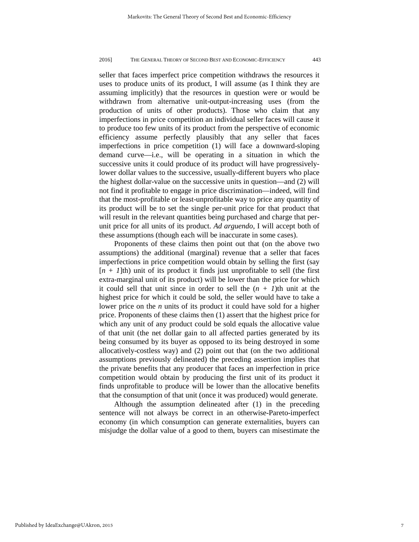seller that faces imperfect price competition withdraws the resources it uses to produce units of its product, I will assume (as I think they are assuming implicitly) that the resources in question were or would be withdrawn from alternative unit-output-increasing uses (from the production of units of other products). Those who claim that any imperfections in price competition an individual seller faces will cause it to produce too few units of its product from the perspective of economic efficiency assume perfectly plausibly that any seller that faces imperfections in price competition (1) will face a downward-sloping demand curve—i.e., will be operating in a situation in which the successive units it could produce of its product will have progressivelylower dollar values to the successive, usually-different buyers who place the highest dollar-value on the successive units in question—and (2) will not find it profitable to engage in price discrimination—indeed, will find that the most-profitable or least-unprofitable way to price any quantity of its product will be to set the single per-unit price for that product that will result in the relevant quantities being purchased and charge that perunit price for all units of its product. *Ad arguendo*, I will accept both of these assumptions (though each will be inaccurate in some cases).

Proponents of these claims then point out that (on the above two assumptions) the additional (marginal) revenue that a seller that faces imperfections in price competition would obtain by selling the first (say  $[n + 1]$ th) unit of its product it finds just unprofitable to sell (the first extra-marginal unit of its product) will be lower than the price for which it could sell that unit since in order to sell the  $(n + 1)$ th unit at the highest price for which it could be sold, the seller would have to take a lower price on the *n* units of its product it could have sold for a higher price. Proponents of these claims then (1) assert that the highest price for which any unit of any product could be sold equals the allocative value of that unit (the net dollar gain to all affected parties generated by its being consumed by its buyer as opposed to its being destroyed in some allocatively-costless way) and (2) point out that (on the two additional assumptions previously delineated) the preceding assertion implies that the private benefits that any producer that faces an imperfection in price competition would obtain by producing the first unit of its product it finds unprofitable to produce will be lower than the allocative benefits that the consumption of that unit (once it was produced) would generate.

Although the assumption delineated after (1) in the preceding sentence will not always be correct in an otherwise-Pareto-imperfect economy (in which consumption can generate externalities, buyers can misjudge the dollar value of a good to them, buyers can misestimate the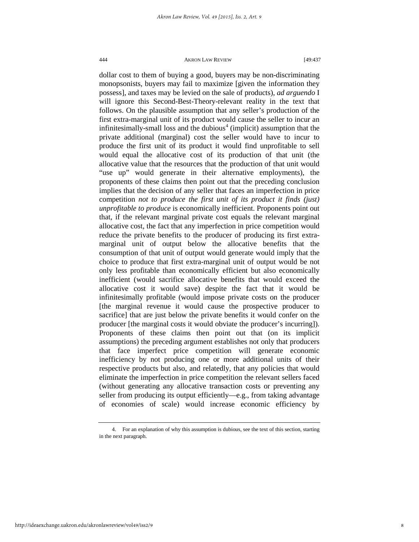dollar cost to them of buying a good, buyers may be non-discriminating monopsonists, buyers may fail to maximize [given the information they possess], and taxes may be levied on the sale of products), *ad arguendo* I will ignore this Second-Best-Theory-relevant reality in the text that follows. On the plausible assumption that any seller's production of the first extra-marginal unit of its product would cause the seller to incur an infinitesimally-small loss and the dubious<sup>[4](#page-8-0)</sup> (implicit) assumption that the private additional (marginal) cost the seller would have to incur to produce the first unit of its product it would find unprofitable to sell would equal the allocative cost of its production of that unit (the allocative value that the resources that the production of that unit would "use up" would generate in their alternative employments), the proponents of these claims then point out that the preceding conclusion implies that the decision of any seller that faces an imperfection in price competition *not to produce the first unit of its product it finds (just) unprofitable to produce* is economically inefficient. Proponents point out that, if the relevant marginal private cost equals the relevant marginal allocative cost, the fact that any imperfection in price competition would reduce the private benefits to the producer of producing its first extramarginal unit of output below the allocative benefits that the consumption of that unit of output would generate would imply that the choice to produce that first extra-marginal unit of output would be not only less profitable than economically efficient but also economically inefficient (would sacrifice allocative benefits that would exceed the allocative cost it would save) despite the fact that it would be infinitesimally profitable (would impose private costs on the producer [the marginal revenue it would cause the prospective producer to sacrifice] that are just below the private benefits it would confer on the producer [the marginal costs it would obviate the producer's incurring]). Proponents of these claims then point out that (on its implicit assumptions) the preceding argument establishes not only that producers that face imperfect price competition will generate economic inefficiency by not producing one or more additional units of their respective products but also, and relatedly, that any policies that would eliminate the imperfection in price competition the relevant sellers faced (without generating any allocative transaction costs or preventing any seller from producing its output efficiently—e.g., from taking advantage of economies of scale) would increase economic efficiency by

<span id="page-8-0"></span>http://ideaexchange.uakron.edu/akronlawreview/vol49/iss2/9

8

<sup>4.</sup> For an explanation of why this assumption is dubious, see the text of this section, starting in the next paragraph.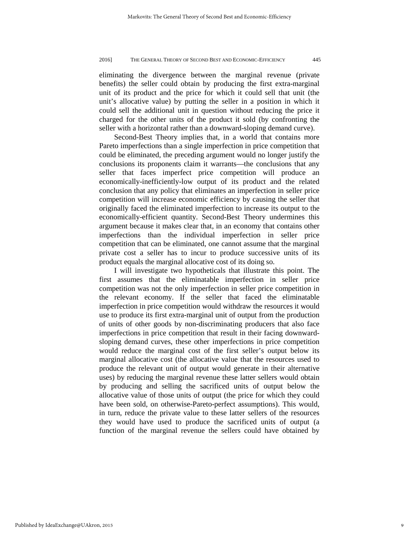eliminating the divergence between the marginal revenue (private benefits) the seller could obtain by producing the first extra-marginal unit of its product and the price for which it could sell that unit (the unit's allocative value) by putting the seller in a position in which it could sell the additional unit in question without reducing the price it charged for the other units of the product it sold (by confronting the seller with a horizontal rather than a downward-sloping demand curve).

Second-Best Theory implies that, in a world that contains more Pareto imperfections than a single imperfection in price competition that could be eliminated, the preceding argument would no longer justify the conclusions its proponents claim it warrants—the conclusions that any seller that faces imperfect price competition will produce an economically-inefficiently-low output of its product and the related conclusion that any policy that eliminates an imperfection in seller price competition will increase economic efficiency by causing the seller that originally faced the eliminated imperfection to increase its output to the economically-efficient quantity. Second-Best Theory undermines this argument because it makes clear that, in an economy that contains other imperfections than the individual imperfection in seller price competition that can be eliminated, one cannot assume that the marginal private cost a seller has to incur to produce successive units of its product equals the marginal allocative cost of its doing so.

I will investigate two hypotheticals that illustrate this point. The first assumes that the eliminatable imperfection in seller price competition was not the only imperfection in seller price competition in the relevant economy. If the seller that faced the eliminatable imperfection in price competition would withdraw the resources it would use to produce its first extra-marginal unit of output from the production of units of other goods by non-discriminating producers that also face imperfections in price competition that result in their facing downwardsloping demand curves, these other imperfections in price competition would reduce the marginal cost of the first seller's output below its marginal allocative cost (the allocative value that the resources used to produce the relevant unit of output would generate in their alternative uses) by reducing the marginal revenue these latter sellers would obtain by producing and selling the sacrificed units of output below the allocative value of those units of output (the price for which they could have been sold, on otherwise-Pareto-perfect assumptions). This would, in turn, reduce the private value to these latter sellers of the resources they would have used to produce the sacrificed units of output (a function of the marginal revenue the sellers could have obtained by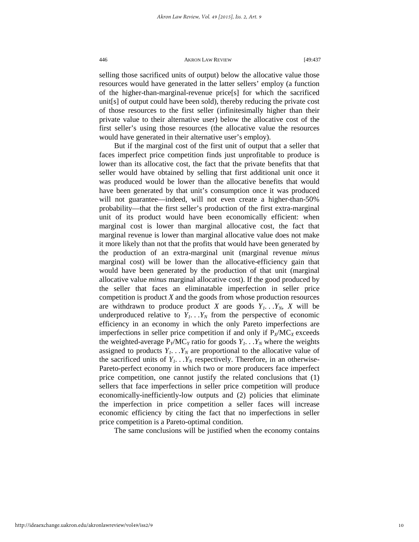selling those sacrificed units of output) below the allocative value those resources would have generated in the latter sellers' employ (a function of the higher-than-marginal-revenue price[s] for which the sacrificed unit[s] of output could have been sold), thereby reducing the private cost of those resources to the first seller (infinitesimally higher than their private value to their alternative user) below the allocative cost of the first seller's using those resources (the allocative value the resources would have generated in their alternative user's employ).

But if the marginal cost of the first unit of output that a seller that faces imperfect price competition finds just unprofitable to produce is lower than its allocative cost, the fact that the private benefits that that seller would have obtained by selling that first additional unit once it was produced would be lower than the allocative benefits that would have been generated by that unit's consumption once it was produced will not guarantee—indeed, will not even create a higher-than-50% probability—that the first seller's production of the first extra-marginal unit of its product would have been economically efficient: when marginal cost is lower than marginal allocative cost, the fact that marginal revenue is lower than marginal allocative value does not make it more likely than not that the profits that would have been generated by the production of an extra-marginal unit (marginal revenue *minus* marginal cost) will be lower than the allocative-efficiency gain that would have been generated by the production of that unit (marginal allocative value *minus* marginal allocative cost). If the good produced by the seller that faces an eliminatable imperfection in seller price competition is product *X* and the goods from whose production resources are withdrawn to produce product *X* are goods  $Y_1 \nvert X_N$ , *X* will be underproduced relative to  $Y_1$ .  $Y_N$  from the perspective of economic efficiency in an economy in which the only Pareto imperfections are imperfections in seller price competition if and only if  $P_X/MC_X$  exceeds the weighted-average  $P_Y/MC_Y$  ratio for goods  $Y_I \ldots Y_N$  where the weights assigned to products  $Y_1$ . . .  $Y_N$  are proportional to the allocative value of the sacrificed units of  $Y_1$ .  $Y_N$  respectively. Therefore, in an otherwise-Pareto-perfect economy in which two or more producers face imperfect price competition, one cannot justify the related conclusions that (1) sellers that face imperfections in seller price competition will produce economically-inefficiently-low outputs and (2) policies that eliminate the imperfection in price competition a seller faces will increase economic efficiency by citing the fact that no imperfections in seller price competition is a Pareto-optimal condition.

The same conclusions will be justified when the economy contains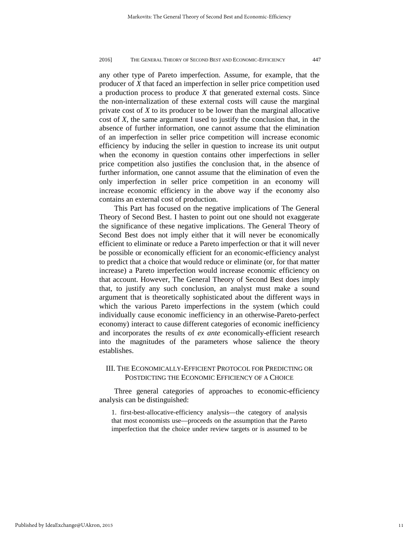any other type of Pareto imperfection. Assume, for example, that the producer of *X* that faced an imperfection in seller price competition used a production process to produce *X* that generated external costs. Since the non-internalization of these external costs will cause the marginal private cost of *X* to its producer to be lower than the marginal allocative cost of *X*, the same argument I used to justify the conclusion that, in the absence of further information, one cannot assume that the elimination of an imperfection in seller price competition will increase economic efficiency by inducing the seller in question to increase its unit output when the economy in question contains other imperfections in seller price competition also justifies the conclusion that, in the absence of further information, one cannot assume that the elimination of even the only imperfection in seller price competition in an economy will increase economic efficiency in the above way if the economy also contains an external cost of production.

This Part has focused on the negative implications of The General Theory of Second Best. I hasten to point out one should not exaggerate the significance of these negative implications. The General Theory of Second Best does not imply either that it will never be economically efficient to eliminate or reduce a Pareto imperfection or that it will never be possible or economically efficient for an economic-efficiency analyst to predict that a choice that would reduce or eliminate (or, for that matter increase) a Pareto imperfection would increase economic efficiency on that account. However, The General Theory of Second Best does imply that, to justify any such conclusion, an analyst must make a sound argument that is theoretically sophisticated about the different ways in which the various Pareto imperfections in the system (which could individually cause economic inefficiency in an otherwise-Pareto-perfect economy) interact to cause different categories of economic inefficiency and incorporates the results of *ex ante* economically-efficient research into the magnitudes of the parameters whose salience the theory establishes.

# III. THE ECONOMICALLY-EFFICIENT PROTOCOL FOR PREDICTING OR POSTDICTING THE ECONOMIC EFFICIENCY OF A CHOICE

Three general categories of approaches to economic-efficiency analysis can be distinguished:

1. first-best-allocative-efficiency analysis—the category of analysis that most economists use—proceeds on the assumption that the Pareto imperfection that the choice under review targets or is assumed to be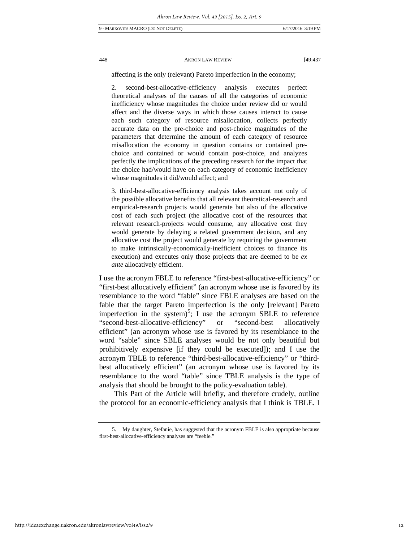affecting is the only (relevant) Pareto imperfection in the economy;

2. second-best-allocative-efficiency analysis executes perfect theoretical analyses of the causes of all the categories of economic inefficiency whose magnitudes the choice under review did or would affect and the diverse ways in which those causes interact to cause each such category of resource misallocation, collects perfectly accurate data on the pre-choice and post-choice magnitudes of the parameters that determine the amount of each category of resource misallocation the economy in question contains or contained prechoice and contained or would contain post-choice, and analyzes perfectly the implications of the preceding research for the impact that the choice had/would have on each category of economic inefficiency whose magnitudes it did/would affect; and

3. third-best-allocative-efficiency analysis takes account not only of the possible allocative benefits that all relevant theoretical-research and empirical-research projects would generate but also of the allocative cost of each such project (the allocative cost of the resources that relevant research-projects would consume, any allocative cost they would generate by delaying a related government decision, and any allocative cost the project would generate by requiring the government to make intrinsically-economically-inefficient choices to finance its execution) and executes only those projects that are deemed to be *ex ante* allocatively efficient.

I use the acronym FBLE to reference "first-best-allocative-efficiency" or "first-best allocatively efficient" (an acronym whose use is favored by its resemblance to the word "fable" since FBLE analyses are based on the fable that the target Pareto imperfection is the only [relevant] Pareto imperfection in the system)<sup>[5](#page-12-0)</sup>; I use the acronym SBLE to reference "second-best-allocative-efficiency" or "second-best allocatively efficient" (an acronym whose use is favored by its resemblance to the word "sable" since SBLE analyses would be not only beautiful but prohibitively expensive [if they could be executed]); and I use the acronym TBLE to reference "third-best-allocative-efficiency" or "thirdbest allocatively efficient" (an acronym whose use is favored by its resemblance to the word "table" since TBLE analysis is the type of analysis that should be brought to the policy-evaluation table).

This Part of the Article will briefly, and therefore crudely, outline the protocol for an economic-efficiency analysis that I think is TBLE. I

<span id="page-12-0"></span>http://ideaexchange.uakron.edu/akronlawreview/vol49/iss2/9

<sup>5.</sup> My daughter, Stefanie, has suggested that the acronym FBLE is also appropriate because first-best-allocative-efficiency analyses are "feeble."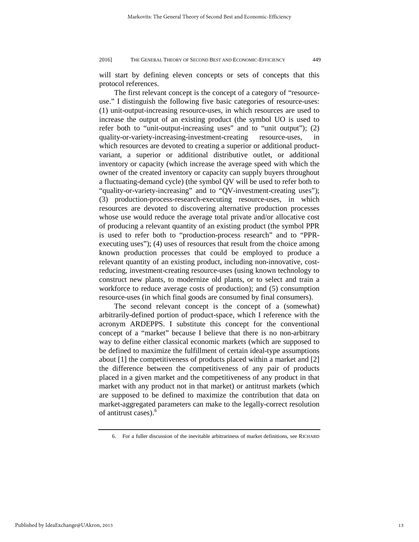will start by defining eleven concepts or sets of concepts that this protocol references.

The first relevant concept is the concept of a category of "resourceuse." I distinguish the following five basic categories of resource-uses: (1) unit-output-increasing resource-uses, in which resources are used to increase the output of an existing product (the symbol UO is used to refer both to "unit-output-increasing uses" and to "unit output"); (2) quality-or-variety-increasing-investment-creating resource-uses, in which resources are devoted to creating a superior or additional productvariant, a superior or additional distributive outlet, or additional inventory or capacity (which increase the average speed with which the owner of the created inventory or capacity can supply buyers throughout a fluctuating-demand cycle) (the symbol QV will be used to refer both to "quality-or-variety-increasing" and to "QV-investment-creating uses"); (3) production-process-research-executing resource-uses, in which resources are devoted to discovering alternative production processes whose use would reduce the average total private and/or allocative cost of producing a relevant quantity of an existing product (the symbol PPR is used to refer both to "production-process research" and to "PPRexecuting uses"); (4) uses of resources that result from the choice among known production processes that could be employed to produce a relevant quantity of an existing product, including non-innovative, costreducing, investment-creating resource-uses (using known technology to construct new plants, to modernize old plants, or to select and train a workforce to reduce average costs of production); and (5) consumption resource-uses (in which final goods are consumed by final consumers).

The second relevant concept is the concept of a (somewhat) arbitrarily-defined portion of product-space, which I reference with the acronym ARDEPPS. I substitute this concept for the conventional concept of a "market" because I believe that there is no non-arbitrary way to define either classical economic markets (which are supposed to be defined to maximize the fulfillment of certain ideal-type assumptions about [1] the competitiveness of products placed within a market and [2] the difference between the competitiveness of any pair of products placed in a given market and the competitiveness of any product in that market with any product not in that market) or antitrust markets (which are supposed to be defined to maximize the contribution that data on market-aggregated parameters can make to the legally-correct resolution of antitrust cases).<sup>[6](#page-13-0)</sup>

<span id="page-13-0"></span><sup>6.</sup> For a fuller discussion of the inevitable arbitrariness of market definitions, see RICHARD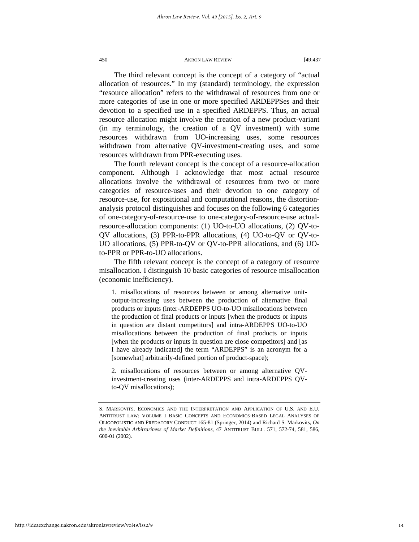The third relevant concept is the concept of a category of "actual allocation of resources." In my (standard) terminology, the expression "resource allocation" refers to the withdrawal of resources from one or more categories of use in one or more specified ARDEPPSes and their devotion to a specified use in a specified ARDEPPS. Thus, an actual resource allocation might involve the creation of a new product-variant (in my terminology, the creation of a QV investment) with some resources withdrawn from UO-increasing uses, some resources withdrawn from alternative QV-investment-creating uses, and some resources withdrawn from PPR-executing uses.

The fourth relevant concept is the concept of a resource-allocation component. Although I acknowledge that most actual resource allocations involve the withdrawal of resources from two or more categories of resource-uses and their devotion to one category of resource-use, for expositional and computational reasons, the distortionanalysis protocol distinguishes and focuses on the following 6 categories of one-category-of-resource-use to one-category-of-resource-use actualresource-allocation components: (1) UO-to-UO allocations, (2) QV-to-QV allocations, (3) PPR-to-PPR allocations, (4) UO-to-QV or QV-to-UO allocations, (5) PPR-to-QV or QV-to-PPR allocations, and (6) UOto-PPR or PPR-to-UO allocations.

The fifth relevant concept is the concept of a category of resource misallocation. I distinguish 10 basic categories of resource misallocation (economic inefficiency).

1. misallocations of resources between or among alternative unitoutput-increasing uses between the production of alternative final products or inputs (inter-ARDEPPS UO-to-UO misallocations between the production of final products or inputs [when the products or inputs in question are distant competitors] and intra-ARDEPPS UO-to-UO misallocations between the production of final products or inputs [when the products or inputs in question are close competitors] and [as I have already indicated] the term "ARDEPPS" is an acronym for a [somewhat] arbitrarily-defined portion of product-space);

2. misallocations of resources between or among alternative QVinvestment-creating uses (inter-ARDEPPS and intra-ARDEPPS QVto-QV misallocations);

S. MARKOVITS, ECONOMICS AND THE INTERPRETATION AND APPLICATION OF U.S. AND E.U. ANTITRUST LAW: VOLUME I BASIC CONCEPTS AND ECONOMICS-BASED LEGAL ANALYSES OF OLIGOPOLISTIC AND PREDATORY CONDUCT 165-81 (Springer, 2014) and Richard S. Markovits, *On the Inevitable Arbitrariness of Market Definitions*, 47 ANTITRUST BULL. 571, 572-74, 581, 586, 600-01 (2002).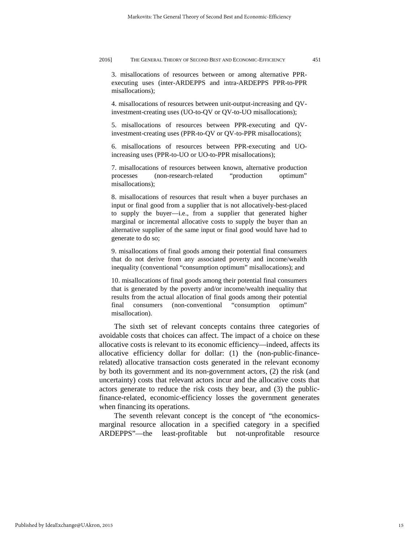3. misallocations of resources between or among alternative PPRexecuting uses (inter-ARDEPPS and intra-ARDEPPS PPR-to-PPR misallocations);

4. misallocations of resources between unit-output-increasing and QVinvestment-creating uses (UO-to-QV or QV-to-UO misallocations);

5. misallocations of resources between PPR-executing and QVinvestment-creating uses (PPR-to-QV or QV-to-PPR misallocations);

6. misallocations of resources between PPR-executing and UOincreasing uses (PPR-to-UO or UO-to-PPR misallocations);

7. misallocations of resources between known, alternative production processes (non-research-related "production optimum" misallocations);

8. misallocations of resources that result when a buyer purchases an input or final good from a supplier that is not allocatively-best-placed to supply the buyer—i.e., from a supplier that generated higher marginal or incremental allocative costs to supply the buyer than an alternative supplier of the same input or final good would have had to generate to do so;

9. misallocations of final goods among their potential final consumers that do not derive from any associated poverty and income/wealth inequality (conventional "consumption optimum" misallocations); and

10. misallocations of final goods among their potential final consumers that is generated by the poverty and/or income/wealth inequality that results from the actual allocation of final goods among their potential final consumers (non-conventional "consumption optimum" misallocation).

The sixth set of relevant concepts contains three categories of avoidable costs that choices can affect. The impact of a choice on these allocative costs is relevant to its economic efficiency—indeed, affects its allocative efficiency dollar for dollar: (1) the (non-public-financerelated) allocative transaction costs generated in the relevant economy by both its government and its non-government actors, (2) the risk (and uncertainty) costs that relevant actors incur and the allocative costs that actors generate to reduce the risk costs they bear, and (3) the publicfinance-related, economic-efficiency losses the government generates when financing its operations.

The seventh relevant concept is the concept of "the economicsmarginal resource allocation in a specified category in a specified ARDEPPS"—the least-profitable but not-unprofitable resource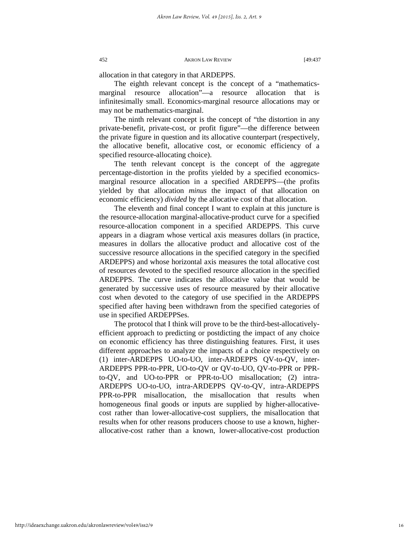allocation in that category in that ARDEPPS.

The eighth relevant concept is the concept of a "mathematicsmarginal resource allocation"—a resource allocation that is infinitesimally small. Economics-marginal resource allocations may or may not be mathematics-marginal.

The ninth relevant concept is the concept of "the distortion in any private-benefit, private-cost, or profit figure"—the difference between the private figure in question and its allocative counterpart (respectively, the allocative benefit, allocative cost, or economic efficiency of a specified resource-allocating choice).

The tenth relevant concept is the concept of the aggregate percentage-distortion in the profits yielded by a specified economicsmarginal resource allocation in a specified ARDEPPS—(the profits yielded by that allocation *minus* the impact of that allocation on economic efficiency) *divided* by the allocative cost of that allocation.

The eleventh and final concept I want to explain at this juncture is the resource-allocation marginal-allocative-product curve for a specified resource-allocation component in a specified ARDEPPS. This curve appears in a diagram whose vertical axis measures dollars (in practice, measures in dollars the allocative product and allocative cost of the successive resource allocations in the specified category in the specified ARDEPPS) and whose horizontal axis measures the total allocative cost of resources devoted to the specified resource allocation in the specified ARDEPPS. The curve indicates the allocative value that would be generated by successive uses of resource measured by their allocative cost when devoted to the category of use specified in the ARDEPPS specified after having been withdrawn from the specified categories of use in specified ARDEPPSes.

The protocol that I think will prove to be the third-best-allocativelyefficient approach to predicting or postdicting the impact of any choice on economic efficiency has three distinguishing features. First, it uses different approaches to analyze the impacts of a choice respectively on (1) inter-ARDEPPS UO-to-UO, inter-ARDEPPS QV-to-QV, inter-ARDEPPS PPR-to-PPR, UO-to-QV or QV-to-UO, QV-to-PPR or PPRto-QV, and UO-to-PPR or PPR-to-UO misallocation; (2) intra-ARDEPPS UO-to-UO, intra-ARDEPPS QV-to-QV, intra-ARDEPPS PPR-to-PPR misallocation, the misallocation that results when homogeneous final goods or inputs are supplied by higher-allocativecost rather than lower-allocative-cost suppliers, the misallocation that results when for other reasons producers choose to use a known, higherallocative-cost rather than a known, lower-allocative-cost production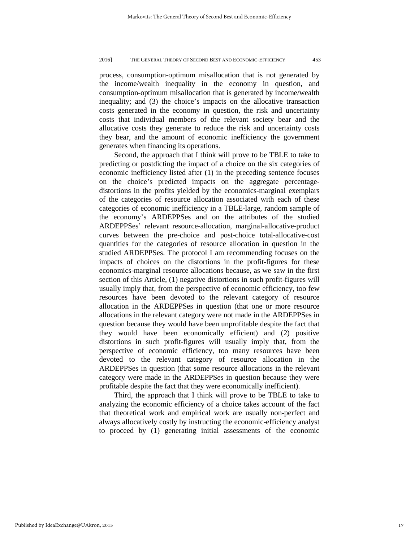process, consumption-optimum misallocation that is not generated by the income/wealth inequality in the economy in question, and consumption-optimum misallocation that is generated by income/wealth inequality; and (3) the choice's impacts on the allocative transaction costs generated in the economy in question, the risk and uncertainty costs that individual members of the relevant society bear and the allocative costs they generate to reduce the risk and uncertainty costs they bear, and the amount of economic inefficiency the government generates when financing its operations.

Second, the approach that I think will prove to be TBLE to take to predicting or postdicting the impact of a choice on the six categories of economic inefficiency listed after (1) in the preceding sentence focuses on the choice's predicted impacts on the aggregate percentagedistortions in the profits yielded by the economics-marginal exemplars of the categories of resource allocation associated with each of these categories of economic inefficiency in a TBLE-large, random sample of the economy's ARDEPPSes and on the attributes of the studied ARDEPPSes' relevant resource-allocation, marginal-allocative-product curves between the pre-choice and post-choice total-allocative-cost quantities for the categories of resource allocation in question in the studied ARDEPPSes. The protocol I am recommending focuses on the impacts of choices on the distortions in the profit-figures for these economics-marginal resource allocations because, as we saw in the first section of this Article, (1) negative distortions in such profit-figures will usually imply that, from the perspective of economic efficiency, too few resources have been devoted to the relevant category of resource allocation in the ARDEPPSes in question (that one or more resource allocations in the relevant category were not made in the ARDEPPSes in question because they would have been unprofitable despite the fact that they would have been economically efficient) and (2) positive distortions in such profit-figures will usually imply that, from the perspective of economic efficiency, too many resources have been devoted to the relevant category of resource allocation in the ARDEPPSes in question (that some resource allocations in the relevant category were made in the ARDEPPSes in question because they were profitable despite the fact that they were economically inefficient).

Third, the approach that I think will prove to be TBLE to take to analyzing the economic efficiency of a choice takes account of the fact that theoretical work and empirical work are usually non-perfect and always allocatively costly by instructing the economic-efficiency analyst to proceed by (1) generating initial assessments of the economic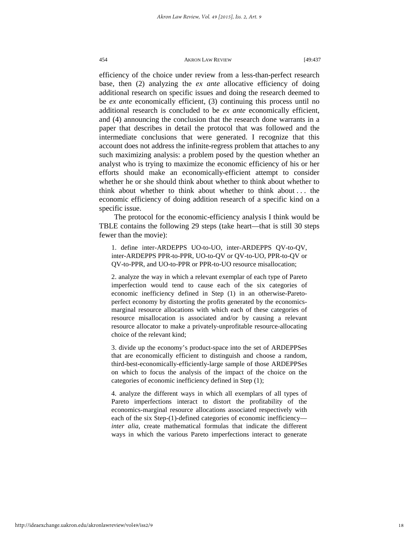efficiency of the choice under review from a less-than-perfect research base, then (2) analyzing the *ex ante* allocative efficiency of doing additional research on specific issues and doing the research deemed to be *ex ante* economically efficient, (3) continuing this process until no additional research is concluded to be *ex ante* economically efficient, and (4) announcing the conclusion that the research done warrants in a paper that describes in detail the protocol that was followed and the intermediate conclusions that were generated. I recognize that this account does not address the infinite-regress problem that attaches to any such maximizing analysis: a problem posed by the question whether an analyst who is trying to maximize the economic efficiency of his or her efforts should make an economically-efficient attempt to consider whether he or she should think about whether to think about whether to think about whether to think about whether to think about . . . the economic efficiency of doing addition research of a specific kind on a specific issue.

The protocol for the economic-efficiency analysis I think would be TBLE contains the following 29 steps (take heart—that is still 30 steps fewer than the movie):

1. define inter-ARDEPPS UO-to-UO, inter-ARDEPPS QV-to-QV, inter-ARDEPPS PPR-to-PPR, UO-to-QV or QV-to-UO, PPR-to-QV or QV-to-PPR, and UO-to-PPR or PPR-to-UO resource misallocation;

2. analyze the way in which a relevant exemplar of each type of Pareto imperfection would tend to cause each of the six categories of economic inefficiency defined in Step (1) in an otherwise-Paretoperfect economy by distorting the profits generated by the economicsmarginal resource allocations with which each of these categories of resource misallocation is associated and/or by causing a relevant resource allocator to make a privately-unprofitable resource-allocating choice of the relevant kind;

3. divide up the economy's product-space into the set of ARDEPPSes that are economically efficient to distinguish and choose a random, third-best-economically-efficiently-large sample of those ARDEPPSes on which to focus the analysis of the impact of the choice on the categories of economic inefficiency defined in Step (1);

4. analyze the different ways in which all exemplars of all types of Pareto imperfections interact to distort the profitability of the economics-marginal resource allocations associated respectively with each of the six Step-(1)-defined categories of economic inefficiency *inter alia*, create mathematical formulas that indicate the different ways in which the various Pareto imperfections interact to generate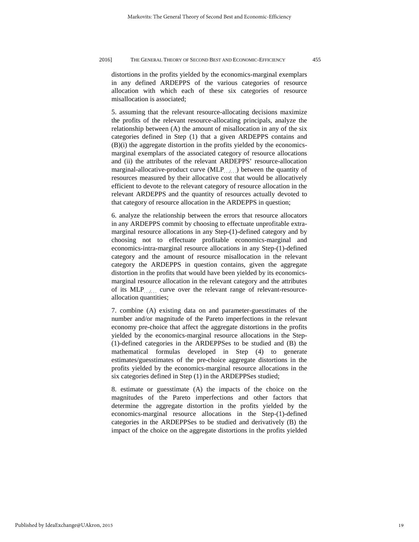distortions in the profits yielded by the economics-marginal exemplars in any defined ARDEPPS of the various categories of resource allocation with which each of these six categories of resource misallocation is associated;

5. assuming that the relevant resource-allocating decisions maximize the profits of the relevant resource-allocating principals, analyze the relationship between (A) the amount of misallocation in any of the six categories defined in Step (1) that a given ARDEPPS contains and (B)(i) the aggregate distortion in the profits yielded by the economicsmarginal exemplars of the associated category of resource allocations and (ii) the attributes of the relevant ARDEPPS' resource-allocation marginal-allocative-product curve  $(MLP_{\ldots} )$  between the quantity of resources measured by their allocative cost that would be allocatively efficient to devote to the relevant category of resource allocation in the relevant ARDEPPS and the quantity of resources actually devoted to that category of resource allocation in the ARDEPPS in question;

6. analyze the relationship between the errors that resource allocators in any ARDEPPS commit by choosing to effectuate unprofitable extramarginal resource allocations in any Step-(1)-defined category and by choosing not to effectuate profitable economics-marginal and economics-intra-marginal resource allocations in any Step-(1)-defined category and the amount of resource misallocation in the relevant category the ARDEPPS in question contains, given the aggregate distortion in the profits that would have been yielded by its economicsmarginal resource allocation in the relevant category and the attributes of its MLP. ..... curve over the relevant range of relevant-resourceallocation quantities;

7. combine (A) existing data on and parameter-guesstimates of the number and/or magnitude of the Pareto imperfections in the relevant economy pre-choice that affect the aggregate distortions in the profits yielded by the economics-marginal resource allocations in the Step- (1)-defined categories in the ARDEPPSes to be studied and (B) the mathematical formulas developed in Step (4) to generate estimates/guesstimates of the pre-choice aggregate distortions in the profits yielded by the economics-marginal resource allocations in the six categories defined in Step (1) in the ARDEPPSes studied;

8. estimate or guesstimate (A) the impacts of the choice on the magnitudes of the Pareto imperfections and other factors that determine the aggregate distortion in the profits yielded by the economics-marginal resource allocations in the Step-(1)-defined categories in the ARDEPPSes to be studied and derivatively (B) the impact of the choice on the aggregate distortions in the profits yielded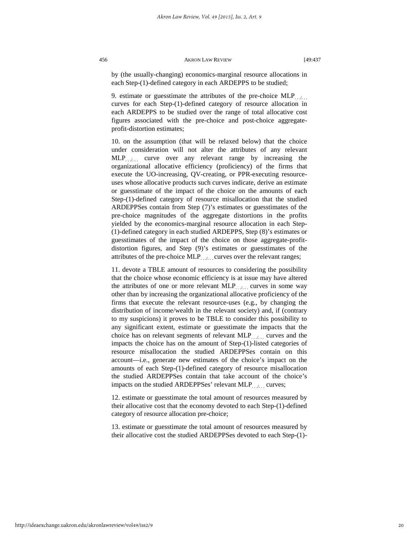by (the usually-changing) economics-marginal resource allocations in each Step-(1)-defined category in each ARDEPPS to be studied;

9. estimate or guesstimate the attributes of the pre-choice MLP. curves for each Step-(1)-defined category of resource allocation in each ARDEPPS to be studied over the range of total allocative cost figures associated with the pre-choice and post-choice aggregateprofit-distortion estimates;

10. on the assumption (that will be relaxed below) that the choice under consideration will not alter the attributes of any relevant  $MLP_{n+1}$  curve over any relevant range by increasing the organizational allocative efficiency (proficiency) of the firms that execute the UO-increasing, QV-creating, or PPR-executing resourceuses whose allocative products such curves indicate, derive an estimate or guesstimate of the impact of the choice on the amounts of each Step-(1)-defined category of resource misallocation that the studied ARDEPPSes contain from Step (7)'s estimates or guesstimates of the pre-choice magnitudes of the aggregate distortions in the profits yielded by the economics-marginal resource allocation in each Step- (1)-defined category in each studied ARDEPPS, Step (8)'s estimates or guesstimates of the impact of the choice on those aggregate-profitdistortion figures, and Step (9)'s estimates or guesstimates of the attributes of the pre-choice MLP $\rightarrow$  curves over the relevant ranges;

11. devote a TBLE amount of resources to considering the possibility that the choice whose economic efficiency is at issue may have altered the attributes of one or more relevant MLP. ..... curves in some way other than by increasing the organizational allocative proficiency of the firms that execute the relevant resource-uses (e.g., by changing the distribution of income/wealth in the relevant society) and, if (contrary to my suspicions) it proves to be TBLE to consider this possibility to any significant extent, estimate or guesstimate the impacts that the choice has on relevant segments of relevant MLP. .... curves and the impacts the choice has on the amount of Step-(1)-listed categories of resource misallocation the studied ARDEPPSes contain on this account—i.e., generate new estimates of the choice's impact on the amounts of each Step-(1)-defined category of resource misallocation the studied ARDEPPSes contain that take account of the choice's impacts on the studied ARDEPPSes' relevant MLP. ....... curves;

12. estimate or guesstimate the total amount of resources measured by their allocative cost that the economy devoted to each Step-(1)-defined category of resource allocation pre-choice;

13. estimate or guesstimate the total amount of resources measured by their allocative cost the studied ARDEPPSes devoted to each Step-(1)-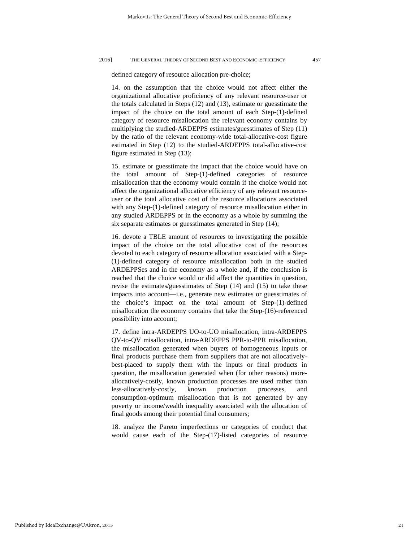defined category of resource allocation pre-choice;

14. on the assumption that the choice would not affect either the organizational allocative proficiency of any relevant resource-user or the totals calculated in Steps (12) and (13), estimate or guesstimate the impact of the choice on the total amount of each Step-(1)-defined category of resource misallocation the relevant economy contains by multiplying the studied-ARDEPPS estimates/guesstimates of Step (11) by the ratio of the relevant economy-wide total-allocative-cost figure estimated in Step (12) to the studied-ARDEPPS total-allocative-cost figure estimated in Step (13);

15. estimate or guesstimate the impact that the choice would have on the total amount of Step-(1)-defined categories of resource misallocation that the economy would contain if the choice would not affect the organizational allocative efficiency of any relevant resourceuser or the total allocative cost of the resource allocations associated with any Step-(1)-defined category of resource misallocation either in any studied ARDEPPS or in the economy as a whole by summing the six separate estimates or guesstimates generated in Step (14);

16. devote a TBLE amount of resources to investigating the possible impact of the choice on the total allocative cost of the resources devoted to each category of resource allocation associated with a Step- (1)-defined category of resource misallocation both in the studied ARDEPPSes and in the economy as a whole and, if the conclusion is reached that the choice would or did affect the quantities in question, revise the estimates/guesstimates of Step (14) and (15) to take these impacts into account—i.e., generate new estimates or guesstimates of the choice's impact on the total amount of Step-(1)-defined misallocation the economy contains that take the Step-(16)-referenced possibility into account;

17. define intra-ARDEPPS UO-to-UO misallocation, intra-ARDEPPS QV-to-QV misallocation, intra-ARDEPPS PPR-to-PPR misallocation, the misallocation generated when buyers of homogeneous inputs or final products purchase them from suppliers that are not allocativelybest-placed to supply them with the inputs or final products in question, the misallocation generated when (for other reasons) moreallocatively-costly, known production processes are used rather than less-allocatively-costly, known production processes, and consumption-optimum misallocation that is not generated by any poverty or income/wealth inequality associated with the allocation of final goods among their potential final consumers;

18. analyze the Pareto imperfections or categories of conduct that would cause each of the Step-(17)-listed categories of resource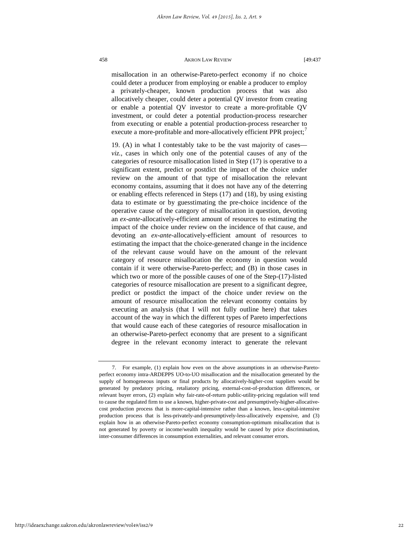misallocation in an otherwise-Pareto-perfect economy if no choice could deter a producer from employing or enable a producer to employ a privately-cheaper, known production process that was also allocatively cheaper, could deter a potential QV investor from creating or enable a potential QV investor to create a more-profitable QV investment, or could deter a potential production-process researcher from executing or enable a potential production-process researcher to execute a more-profitable and more-allocatively efficient PPR project;

19. (A) in what I contestably take to be the vast majority of cases *viz.*, cases in which only one of the potential causes of any of the categories of resource misallocation listed in Step (17) is operative to a significant extent, predict or postdict the impact of the choice under review on the amount of that type of misallocation the relevant economy contains, assuming that it does not have any of the deterring or enabling effects referenced in Steps (17) and (18), by using existing data to estimate or by guesstimating the pre-choice incidence of the operative cause of the category of misallocation in question, devoting an *ex-ante*-allocatively-efficient amount of resources to estimating the impact of the choice under review on the incidence of that cause, and devoting an *ex-ante*-allocatively-efficient amount of resources to estimating the impact that the choice-generated change in the incidence of the relevant cause would have on the amount of the relevant category of resource misallocation the economy in question would contain if it were otherwise-Pareto-perfect; and (B) in those cases in which two or more of the possible causes of one of the Step-(17)-listed categories of resource misallocation are present to a significant degree, predict or postdict the impact of the choice under review on the amount of resource misallocation the relevant economy contains by executing an analysis (that I will not fully outline here) that takes account of the way in which the different types of Pareto imperfections that would cause each of these categories of resource misallocation in an otherwise-Pareto-perfect economy that are present to a significant degree in the relevant economy interact to generate the relevant

<span id="page-22-0"></span><sup>7.</sup> For example, (1) explain how even on the above assumptions in an otherwise-Paretoperfect economy intra-ARDEPPS UO-to-UO misallocation and the misallocation generated by the supply of homogeneous inputs or final products by allocatively-higher-cost suppliers would be generated by predatory pricing, retaliatory pricing, external-cost-of-production differences, or relevant buyer errors, (2) explain why fair-rate-of-return public-utility-pricing regulation will tend to cause the regulated firm to use a known, higher-private-cost and presumptively-higher-allocativecost production process that is more-capital-intensive rather than a known, less-capital-intensive production process that is less-privately-and-presumptively-less-allocatively expensive, and (3) explain how in an otherwise-Pareto-perfect economy consumption-optimum misallocation that is not generated by poverty or income/wealth inequality would be caused by price discrimination, inter-consumer differences in consumption externalities, and relevant consumer errors.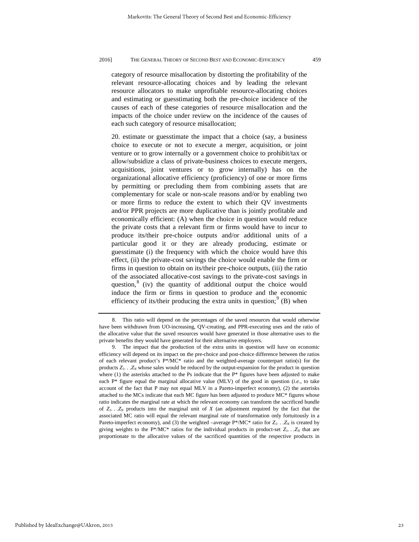category of resource misallocation by distorting the profitability of the relevant resource-allocating choices and by leading the relevant resource allocators to make unprofitable resource-allocating choices and estimating or guesstimating both the pre-choice incidence of the causes of each of these categories of resource misallocation and the impacts of the choice under review on the incidence of the causes of each such category of resource misallocation;

20. estimate or guesstimate the impact that a choice (say, a business choice to execute or not to execute a merger, acquisition, or joint venture or to grow internally or a government choice to prohibit/tax or allow/subsidize a class of private-business choices to execute mergers, acquisitions, joint ventures or to grow internally) has on the organizational allocative efficiency (proficiency) of one or more firms by permitting or precluding them from combining assets that are complementary for scale or non-scale reasons and/or by enabling two or more firms to reduce the extent to which their QV investments and/or PPR projects are more duplicative than is jointly profitable and economically efficient: (A) when the choice in question would reduce the private costs that a relevant firm or firms would have to incur to produce its/their pre-choice outputs and/or additional units of a particular good it or they are already producing, estimate or guesstimate (i) the frequency with which the choice would have this effect, (ii) the private-cost savings the choice would enable the firm or firms in question to obtain on its/their pre-choice outputs, (iii) the ratio of the associated allocative-cost savings to the private-cost savings in question, $\delta$  (iv) the quantity of additional output the choice would induce the firm or firms in question to produce and the economic efficiency of its/their producing the extra units in question;  $(8)$  when

<span id="page-23-0"></span><sup>8.</sup> This ratio will depend on the percentages of the saved resources that would otherwise have been withdrawn from UO-increasing, QV-creating, and PPR-executing uses and the ratio of the allocative value that the saved resources would have generated in those alternative uses to the private benefits they would have generated for their alternative employers.

<span id="page-23-1"></span><sup>9.</sup> The impact that the production of the extra units in question will have on economic efficiency will depend on its impact on the pre-choice and post-choice difference between the ratios of each relevant product's P\*/MC\* ratio and the weighted-average counterpart ratio(s) for the products  $Z_1$ .  $Z_N$  whose sales would be reduced by the output-expansion for the product in question where (1) the asterisks attached to the Ps indicate that the  $P^*$  figures have been adjusted to make each  $P^*$  figure equal the marginal allocative value (MLV) of the good in question (*i.e.*, to take account of the fact that P may not equal MLV in a Pareto-imperfect economy), (2) the asterisks attached to the MCs indicate that each MC figure has been adjusted to produce MC\* figures whose ratio indicates the marginal rate at which the relevant economy can transform the sacrificed bundle of  $Z_1$ . .  $Z_N$  products into the marginal unit of  $X$  (an adjustment required by the fact that the associated MC ratio will equal the relevant marginal rate of transformation only fortuitously in a Pareto-imperfect economy), and (3) the weighted –average  $P^*/MC^*$  ratio for  $Z_1$ . .  $Z_N$  is created by giving weights to the P<sup>\*</sup>/MC<sup>\*</sup> ratios for the individual products in product-set  $Z_i$ . . .  $Z_N$  that are proportionate to the allocative values of the sacrificed quantities of the respective products in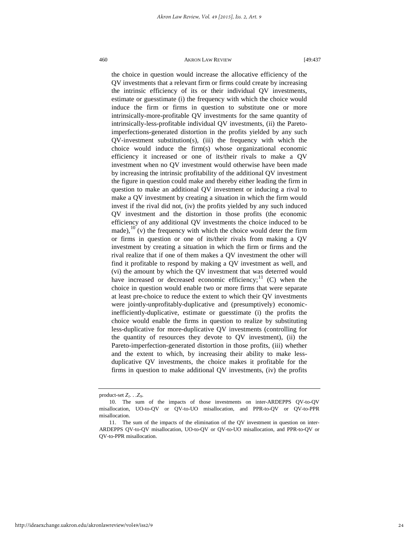the choice in question would increase the allocative efficiency of the QV investments that a relevant firm or firms could create by increasing the intrinsic efficiency of its or their individual QV investments, estimate or guesstimate (i) the frequency with which the choice would induce the firm or firms in question to substitute one or more intrinsically-more-profitable QV investments for the same quantity of intrinsically-less-profitable individual QV investments, (ii) the Paretoimperfections-generated distortion in the profits yielded by any such QV-investment substitution(s), (iii) the frequency with which the choice would induce the firm(s) whose organizational economic efficiency it increased or one of its/their rivals to make a QV investment when no QV investment would otherwise have been made by increasing the intrinsic profitability of the additional QV investment the figure in question could make and thereby either leading the firm in question to make an additional QV investment or inducing a rival to make a QV investment by creating a situation in which the firm would invest if the rival did not, (iv) the profits yielded by any such induced QV investment and the distortion in those profits (the economic efficiency of any additional QV investments the choice induced to be made),  $10$  (v) the frequency with which the choice would deter the firm or firms in question or one of its/their rivals from making a QV investment by creating a situation in which the firm or firms and the rival realize that if one of them makes a QV investment the other will find it profitable to respond by making a QV investment as well, and (vi) the amount by which the QV investment that was deterred would have increased or decreased economic efficiency;<sup>[11](#page-24-1)</sup> (C) when the choice in question would enable two or more firms that were separate at least pre-choice to reduce the extent to which their QV investments were jointly-unprofitably-duplicative and (presumptively) economicinefficiently-duplicative, estimate or guesstimate (i) the profits the choice would enable the firms in question to realize by substituting less-duplicative for more-duplicative QV investments (controlling for the quantity of resources they devote to QV investment), (ii) the Pareto-imperfection-generated distortion in those profits, (iii) whether and the extent to which, by increasing their ability to make lessduplicative QV investments, the choice makes it profitable for the firms in question to make additional QV investments, (iv) the profits

<span id="page-24-1"></span>

24

<span id="page-24-0"></span>product-set *Z1. . .ZN*.

<sup>10.</sup> The sum of the impacts of those investments on inter-ARDEPPS QV-to-QV misallocation, UO-to-QV or QV-to-UO misallocation, and PPR-to-QV or QV-to-PPR misallocation.

<sup>11.</sup> The sum of the impacts of the elimination of the QV investment in question on inter-ARDEPPS QV-to-QV misallocation, UO-to-QV or QV-to-UO misallocation, and PPR-to-QV or QV-to-PPR misallocation.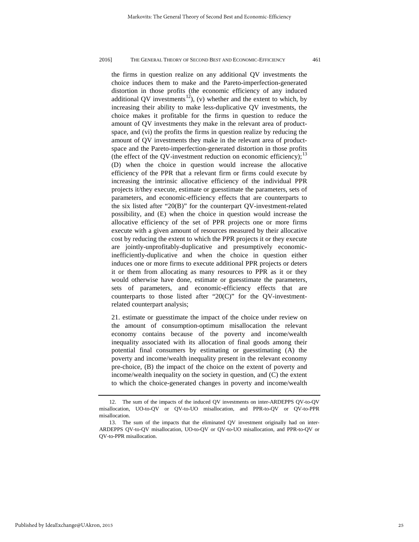the firms in question realize on any additional QV investments the choice induces them to make and the Pareto-imperfection-generated distortion in those profits (the economic efficiency of any induced additional QV investments<sup>12</sup>), (v) whether and the extent to which, by increasing their ability to make less-duplicative QV investments, the choice makes it profitable for the firms in question to reduce the amount of QV investments they make in the relevant area of productspace, and (vi) the profits the firms in question realize by reducing the amount of QV investments they make in the relevant area of productspace and the Pareto-imperfection-generated distortion in those profits (the effect of the QV-investment reduction on economic efficiency);<sup>[13](#page-25-1)</sup> (D) when the choice in question would increase the allocative efficiency of the PPR that a relevant firm or firms could execute by increasing the intrinsic allocative efficiency of the individual PPR projects it/they execute, estimate or guesstimate the parameters, sets of parameters, and economic-efficiency effects that are counterparts to the six listed after "20(B)" for the counterpart QV-investment-related possibility, and (E) when the choice in question would increase the allocative efficiency of the set of PPR projects one or more firms execute with a given amount of resources measured by their allocative cost by reducing the extent to which the PPR projects it or they execute are jointly-unprofitably-duplicative and presumptively economicinefficiently-duplicative and when the choice in question either induces one or more firms to execute additional PPR projects or deters it or them from allocating as many resources to PPR as it or they would otherwise have done, estimate or guesstimate the parameters, sets of parameters, and economic-efficiency effects that are counterparts to those listed after "20(C)" for the QV-investmentrelated counterpart analysis;

21. estimate or guesstimate the impact of the choice under review on the amount of consumption-optimum misallocation the relevant economy contains because of the poverty and income/wealth inequality associated with its allocation of final goods among their potential final consumers by estimating or guesstimating (A) the poverty and income/wealth inequality present in the relevant economy pre-choice, (B) the impact of the choice on the extent of poverty and income/wealth inequality on the society in question, and (C) the extent to which the choice-generated changes in poverty and income/wealth

Published by IdeaExchange@UAkron, 2015

<span id="page-25-0"></span><sup>12.</sup> The sum of the impacts of the induced QV investments on inter-ARDEPPS QV-to-QV misallocation, UO-to-QV or QV-to-UO misallocation, and PPR-to-QV or QV-to-PPR misallocation.

<span id="page-25-1"></span><sup>13.</sup> The sum of the impacts that the eliminated QV investment originally had on inter-ARDEPPS QV-to-QV misallocation, UO-to-QV or QV-to-UO misallocation, and PPR-to-QV or QV-to-PPR misallocation.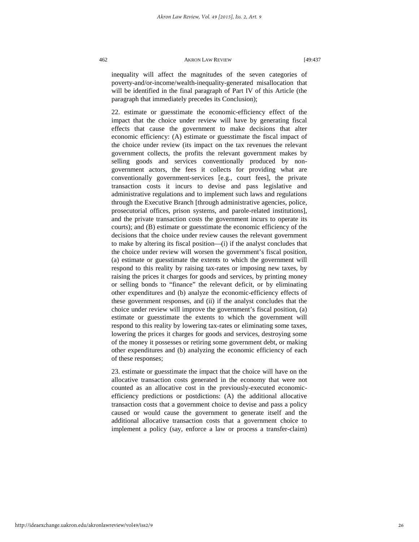inequality will affect the magnitudes of the seven categories of poverty-and/or-income/wealth-inequality-generated misallocation that will be identified in the final paragraph of Part IV of this Article (the paragraph that immediately precedes its Conclusion);

22. estimate or guesstimate the economic-efficiency effect of the impact that the choice under review will have by generating fiscal effects that cause the government to make decisions that alter economic efficiency: (A) estimate or guesstimate the fiscal impact of the choice under review (its impact on the tax revenues the relevant government collects, the profits the relevant government makes by selling goods and services conventionally produced by nongovernment actors, the fees it collects for providing what are conventionally government-services [e.g., court fees], the private transaction costs it incurs to devise and pass legislative and administrative regulations and to implement such laws and regulations through the Executive Branch [through administrative agencies, police, prosecutorial offices, prison systems, and parole-related institutions], and the private transaction costs the government incurs to operate its courts); and (B) estimate or guesstimate the economic efficiency of the decisions that the choice under review causes the relevant government to make by altering its fiscal position—(i) if the analyst concludes that the choice under review will worsen the government's fiscal position, (a) estimate or guesstimate the extents to which the government will respond to this reality by raising tax-rates or imposing new taxes, by raising the prices it charges for goods and services, by printing money or selling bonds to "finance" the relevant deficit, or by eliminating other expenditures and (b) analyze the economic-efficiency effects of these government responses, and (ii) if the analyst concludes that the choice under review will improve the government's fiscal position, (a) estimate or guesstimate the extents to which the government will respond to this reality by lowering tax-rates or eliminating some taxes, lowering the prices it charges for goods and services, destroying some of the money it possesses or retiring some government debt, or making other expenditures and (b) analyzing the economic efficiency of each of these responses;

23. estimate or guesstimate the impact that the choice will have on the allocative transaction costs generated in the economy that were not counted as an allocative cost in the previously-executed economicefficiency predictions or postdictions: (A) the additional allocative transaction costs that a government choice to devise and pass a policy caused or would cause the government to generate itself and the additional allocative transaction costs that a government choice to implement a policy (say, enforce a law or process a transfer-claim)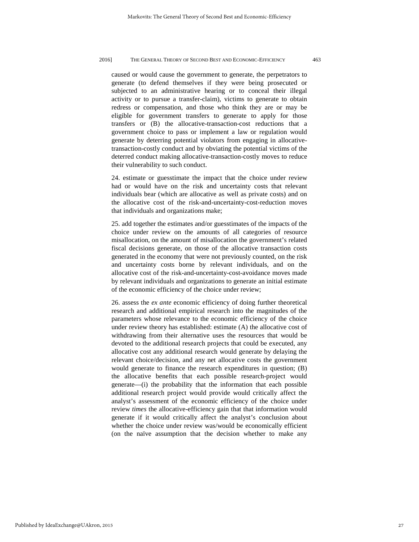caused or would cause the government to generate, the perpetrators to generate (to defend themselves if they were being prosecuted or subjected to an administrative hearing or to conceal their illegal activity or to pursue a transfer-claim), victims to generate to obtain redress or compensation, and those who think they are or may be eligible for government transfers to generate to apply for those transfers or (B) the allocative-transaction-cost reductions that a government choice to pass or implement a law or regulation would generate by deterring potential violators from engaging in allocativetransaction-costly conduct and by obviating the potential victims of the deterred conduct making allocative-transaction-costly moves to reduce their vulnerability to such conduct.

24. estimate or guesstimate the impact that the choice under review had or would have on the risk and uncertainty costs that relevant individuals bear (which are allocative as well as private costs) and on the allocative cost of the risk-and-uncertainty-cost-reduction moves that individuals and organizations make;

25. add together the estimates and/or guesstimates of the impacts of the choice under review on the amounts of all categories of resource misallocation, on the amount of misallocation the government's related fiscal decisions generate, on those of the allocative transaction costs generated in the economy that were not previously counted, on the risk and uncertainty costs borne by relevant individuals, and on the allocative cost of the risk-and-uncertainty-cost-avoidance moves made by relevant individuals and organizations to generate an initial estimate of the economic efficiency of the choice under review;

26. assess the *ex ante* economic efficiency of doing further theoretical research and additional empirical research into the magnitudes of the parameters whose relevance to the economic efficiency of the choice under review theory has established: estimate (A) the allocative cost of withdrawing from their alternative uses the resources that would be devoted to the additional research projects that could be executed, any allocative cost any additional research would generate by delaying the relevant choice/decision, and any net allocative costs the government would generate to finance the research expenditures in question; (B) the allocative benefits that each possible research-project would generate—(i) the probability that the information that each possible additional research project would provide would critically affect the analyst's assessment of the economic efficiency of the choice under review *times* the allocative-efficiency gain that that information would generate if it would critically affect the analyst's conclusion about whether the choice under review was/would be economically efficient (on the naïve assumption that the decision whether to make any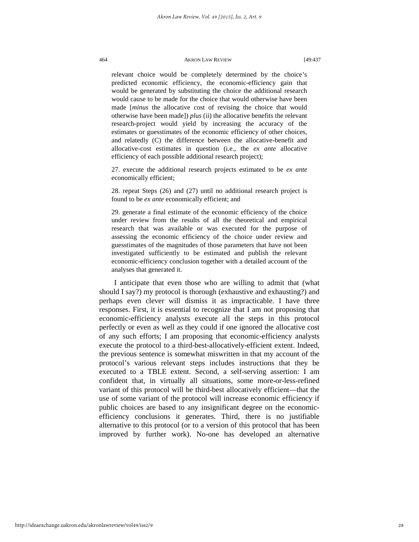relevant choice would be completely determined by the choice's predicted economic efficiency, the economic-efficiency gain that would be generated by substituting the choice the additional research would cause to be made for the choice that would otherwise have been made [*minus* the allocative cost of revising the choice that would otherwise have been made]) *plus* (ii) the allocative benefits the relevant research-project would yield by increasing the accuracy of the estimates or guesstimates of the economic efficiency of other choices, and relatedly (C) the difference between the allocative-benefit and allocative-cost estimates in question (i.e., the *ex ante* allocative efficiency of each possible additional research project);

27. execute the additional research projects estimated to be *ex ante* economically efficient;

28. repeat Steps (26) and (27) until no additional research project is found to be *ex ante* economically efficient; and

29. generate a final estimate of the economic efficiency of the choice under review from the results of all the theoretical and empirical research that was available or was executed for the purpose of assessing the economic efficiency of the choice under review and guesstimates of the magnitudes of those parameters that have not been investigated sufficiently to be estimated and publish the relevant economic-efficiency conclusion together with a detailed account of the analyses that generated it.

I anticipate that even those who are willing to admit that (what should I say?) my protocol is thorough (exhaustive and exhausting?) and perhaps even clever will dismiss it as impracticable. I have three responses. First, it is essential to recognize that I am not proposing that economic-efficiency analysts execute all the steps in this protocol perfectly or even as well as they could if one ignored the allocative cost of any such efforts; I am proposing that economic-efficiency analysts execute the protocol to a third-best-allocatively-efficient extent. Indeed, the previous sentence is somewhat miswritten in that my account of the protocol's various relevant steps includes instructions that they be executed to a TBLE extent. Second, a self-serving assertion: I am confident that, in virtually all situations, some more-or-less-refined variant of this protocol will be third-best allocatively efficient—that the use of some variant of the protocol will increase economic efficiency if public choices are based to any insignificant degree on the economicefficiency conclusions it generates. Third, there is no justifiable alternative to this protocol (or to a version of this protocol that has been improved by further work). No-one has developed an alternative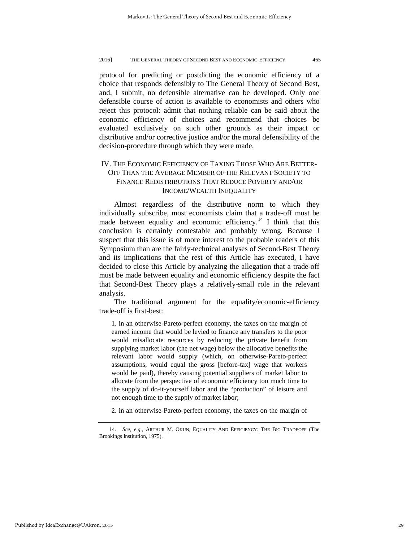protocol for predicting or postdicting the economic efficiency of a choice that responds defensibly to The General Theory of Second Best, and, I submit, no defensible alternative can be developed. Only one defensible course of action is available to economists and others who reject this protocol: admit that nothing reliable can be said about the economic efficiency of choices and recommend that choices be evaluated exclusively on such other grounds as their impact or distributive and/or corrective justice and/or the moral defensibility of the decision-procedure through which they were made.

# IV. THE ECONOMIC EFFICIENCY OF TAXING THOSE WHO ARE BETTER-OFF THAN THE AVERAGE MEMBER OF THE RELEVANT SOCIETY TO FINANCE REDISTRIBUTIONS THAT REDUCE POVERTY AND/OR INCOME/WEALTH INEQUALITY

Almost regardless of the distributive norm to which they individually subscribe, most economists claim that a trade-off must be made between equality and economic efficiency.<sup>[14](#page-29-0)</sup> I think that this conclusion is certainly contestable and probably wrong. Because I suspect that this issue is of more interest to the probable readers of this Symposium than are the fairly-technical analyses of Second-Best Theory and its implications that the rest of this Article has executed, I have decided to close this Article by analyzing the allegation that a trade-off must be made between equality and economic efficiency despite the fact that Second-Best Theory plays a relatively-small role in the relevant analysis.

The traditional argument for the equality/economic-efficiency trade-off is first-best:

1. in an otherwise-Pareto-perfect economy, the taxes on the margin of earned income that would be levied to finance any transfers to the poor would misallocate resources by reducing the private benefit from supplying market labor (the net wage) below the allocative benefits the relevant labor would supply (which, on otherwise-Pareto-perfect assumptions, would equal the gross [before-tax] wage that workers would be paid), thereby causing potential suppliers of market labor to allocate from the perspective of economic efficiency too much time to the supply of do-it-yourself labor and the "production" of leisure and not enough time to the supply of market labor;

2. in an otherwise-Pareto-perfect economy, the taxes on the margin of

<span id="page-29-0"></span><sup>14.</sup> *See, e.g.*, ARTHUR M. OKUN, EQUALITY AND EFFICIENCY: THE BIG TRADEOFF (The Brookings Institution, 1975).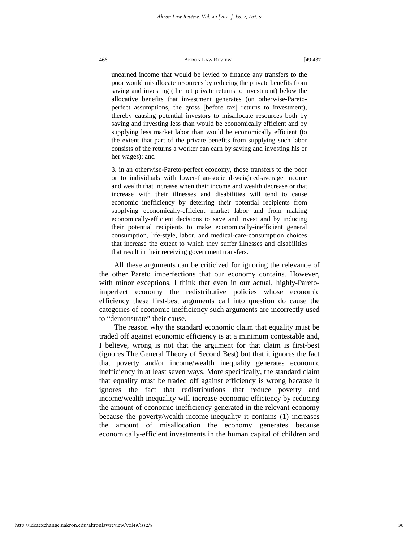unearned income that would be levied to finance any transfers to the poor would misallocate resources by reducing the private benefits from saving and investing (the net private returns to investment) below the allocative benefits that investment generates (on otherwise-Paretoperfect assumptions, the gross [before tax] returns to investment), thereby causing potential investors to misallocate resources both by saving and investing less than would be economically efficient and by supplying less market labor than would be economically efficient (to the extent that part of the private benefits from supplying such labor consists of the returns a worker can earn by saving and investing his or her wages); and

3. in an otherwise-Pareto-perfect economy, those transfers to the poor or to individuals with lower-than-societal-weighted-average income and wealth that increase when their income and wealth decrease or that increase with their illnesses and disabilities will tend to cause economic inefficiency by deterring their potential recipients from supplying economically-efficient market labor and from making economically-efficient decisions to save and invest and by inducing their potential recipients to make economically-inefficient general consumption, life-style, labor, and medical-care-consumption choices that increase the extent to which they suffer illnesses and disabilities that result in their receiving government transfers.

All these arguments can be criticized for ignoring the relevance of the other Pareto imperfections that our economy contains. However, with minor exceptions, I think that even in our actual, highly-Paretoimperfect economy the redistributive policies whose economic efficiency these first-best arguments call into question do cause the categories of economic inefficiency such arguments are incorrectly used to "demonstrate" their cause.

The reason why the standard economic claim that equality must be traded off against economic efficiency is at a minimum contestable and, I believe, wrong is not that the argument for that claim is first-best (ignores The General Theory of Second Best) but that it ignores the fact that poverty and/or income/wealth inequality generates economic inefficiency in at least seven ways. More specifically, the standard claim that equality must be traded off against efficiency is wrong because it ignores the fact that redistributions that reduce poverty and income/wealth inequality will increase economic efficiency by reducing the amount of economic inefficiency generated in the relevant economy because the poverty/wealth-income-inequality it contains (1) increases the amount of misallocation the economy generates because economically-efficient investments in the human capital of children and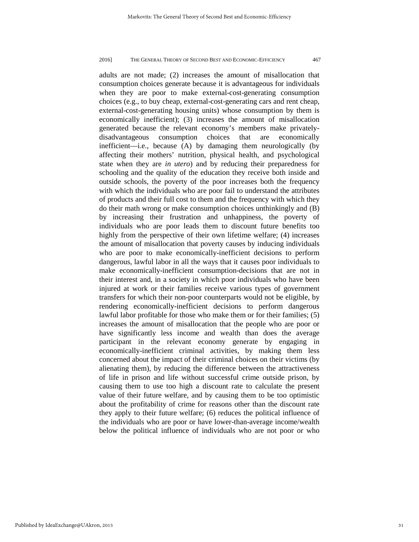adults are not made; (2) increases the amount of misallocation that consumption choices generate because it is advantageous for individuals when they are poor to make external-cost-generating consumption choices (e.g., to buy cheap, external-cost-generating cars and rent cheap, external-cost-generating housing units) whose consumption by them is economically inefficient); (3) increases the amount of misallocation generated because the relevant economy's members make privatelydisadvantageous consumption choices that are economically inefficient—i.e., because (A) by damaging them neurologically (by affecting their mothers' nutrition, physical health, and psychological state when they are *in utero*) and by reducing their preparedness for schooling and the quality of the education they receive both inside and outside schools, the poverty of the poor increases both the frequency with which the individuals who are poor fail to understand the attributes of products and their full cost to them and the frequency with which they do their math wrong or make consumption choices unthinkingly and (B) by increasing their frustration and unhappiness, the poverty of individuals who are poor leads them to discount future benefits too highly from the perspective of their own lifetime welfare; (4) increases the amount of misallocation that poverty causes by inducing individuals who are poor to make economically-inefficient decisions to perform dangerous, lawful labor in all the ways that it causes poor individuals to make economically-inefficient consumption-decisions that are not in their interest and, in a society in which poor individuals who have been injured at work or their families receive various types of government transfers for which their non-poor counterparts would not be eligible, by rendering economically-inefficient decisions to perform dangerous lawful labor profitable for those who make them or for their families; (5) increases the amount of misallocation that the people who are poor or have significantly less income and wealth than does the average participant in the relevant economy generate by engaging in economically-inefficient criminal activities, by making them less concerned about the impact of their criminal choices on their victims (by alienating them), by reducing the difference between the attractiveness of life in prison and life without successful crime outside prison, by causing them to use too high a discount rate to calculate the present value of their future welfare, and by causing them to be too optimistic about the profitability of crime for reasons other than the discount rate they apply to their future welfare; (6) reduces the political influence of the individuals who are poor or have lower-than-average income/wealth below the political influence of individuals who are not poor or who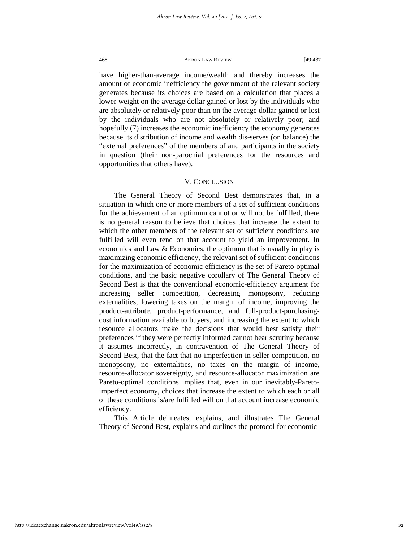have higher-than-average income/wealth and thereby increases the amount of economic inefficiency the government of the relevant society generates because its choices are based on a calculation that places a lower weight on the average dollar gained or lost by the individuals who are absolutely or relatively poor than on the average dollar gained or lost by the individuals who are not absolutely or relatively poor; and hopefully (7) increases the economic inefficiency the economy generates because its distribution of income and wealth dis-serves (on balance) the "external preferences" of the members of and participants in the society in question (their non-parochial preferences for the resources and opportunities that others have).

# V. CONCLUSION

The General Theory of Second Best demonstrates that, in a situation in which one or more members of a set of sufficient conditions for the achievement of an optimum cannot or will not be fulfilled, there is no general reason to believe that choices that increase the extent to which the other members of the relevant set of sufficient conditions are fulfilled will even tend on that account to yield an improvement. In economics and Law & Economics, the optimum that is usually in play is maximizing economic efficiency, the relevant set of sufficient conditions for the maximization of economic efficiency is the set of Pareto-optimal conditions, and the basic negative corollary of The General Theory of Second Best is that the conventional economic-efficiency argument for increasing seller competition, decreasing monopsony, reducing externalities, lowering taxes on the margin of income, improving the product-attribute, product-performance, and full-product-purchasingcost information available to buyers, and increasing the extent to which resource allocators make the decisions that would best satisfy their preferences if they were perfectly informed cannot bear scrutiny because it assumes incorrectly, in contravention of The General Theory of Second Best, that the fact that no imperfection in seller competition, no monopsony, no externalities, no taxes on the margin of income, resource-allocator sovereignty, and resource-allocator maximization are Pareto-optimal conditions implies that, even in our inevitably-Paretoimperfect economy, choices that increase the extent to which each or all of these conditions is/are fulfilled will on that account increase economic efficiency.

This Article delineates, explains, and illustrates The General Theory of Second Best, explains and outlines the protocol for economic-